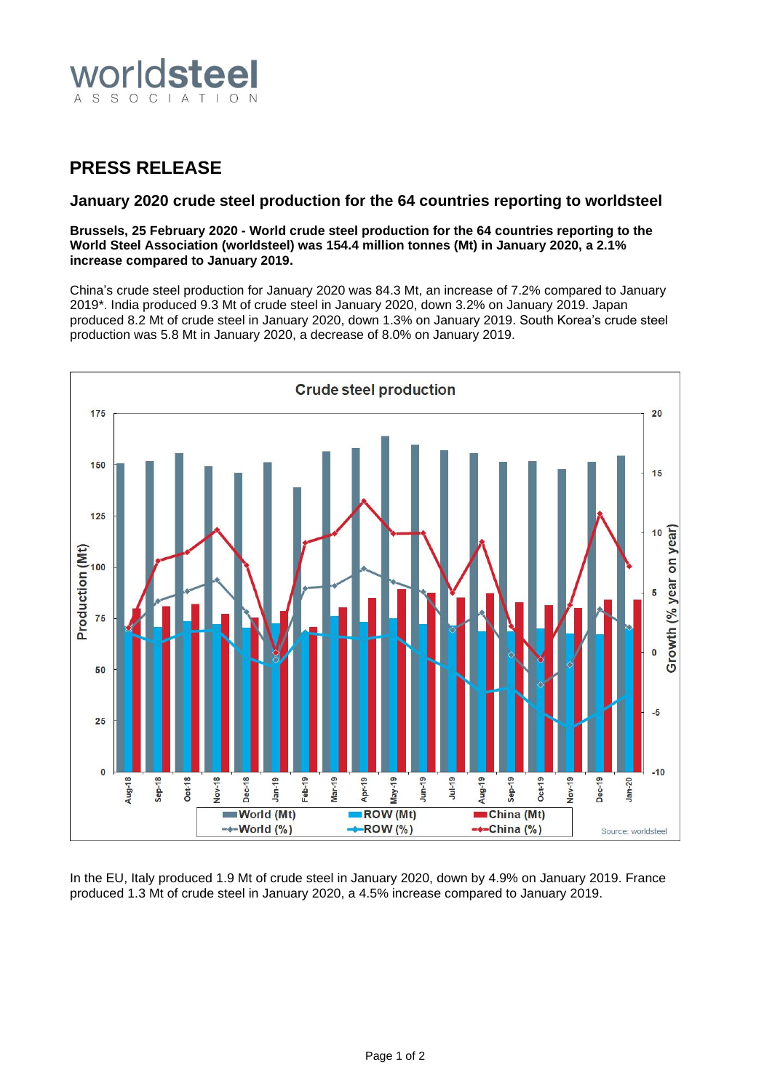

## **PRESS RELEASE**

## **January 2020 crude steel production for the 64 countries reporting to worldsteel**

**Brussels, 25 February 2020 - World crude steel production for the 64 countries reporting to the World Steel Association (worldsteel) was 154.4 million tonnes (Mt) in January 2020, a 2.1% increase compared to January 2019.**

China's crude steel production for January 2020 was 84.3 Mt, an increase of 7.2% compared to January 2019\*. India produced 9.3 Mt of crude steel in January 2020, down 3.2% on January 2019. Japan produced 8.2 Mt of crude steel in January 2020, down 1.3% on January 2019. South Korea's crude steel production was 5.8 Mt in January 2020, a decrease of 8.0% on January 2019.



In the EU, Italy produced 1.9 Mt of crude steel in January 2020, down by 4.9% on January 2019. France produced 1.3 Mt of crude steel in January 2020, a 4.5% increase compared to January 2019.